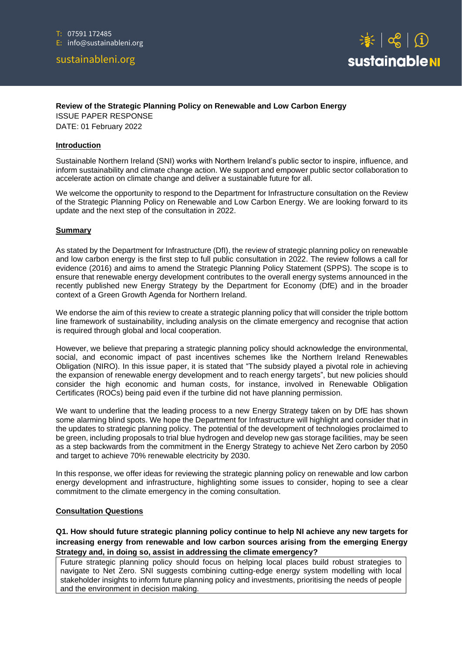# sustainableni.org



## **Review of the Strategic Planning Policy on Renewable and Low Carbon Energy**

ISSUE PAPER RESPONSE DATE: 01 February 2022

#### **Introduction**

Sustainable Northern Ireland (SNI) works with Northern Ireland's public sector to inspire, influence, and inform sustainability and climate change action. We support and empower public sector collaboration to accelerate action on climate change and deliver a sustainable future for all.

We welcome the opportunity to respond to the Department for Infrastructure consultation on the Review of the Strategic Planning Policy on Renewable and Low Carbon Energy. We are looking forward to its update and the next step of the consultation in 2022.

## **Summary**

As stated by the Department for Infrastructure (DfI), the review of strategic planning policy on renewable and low carbon energy is the first step to full public consultation in 2022. The review follows a call for evidence (2016) and aims to amend the Strategic Planning Policy Statement (SPPS). The scope is to ensure that renewable energy development contributes to the overall energy systems announced in the recently published new Energy Strategy by the Department for Economy (DfE) and in the broader context of a Green Growth Agenda for Northern Ireland.

We endorse the aim of this review to create a strategic planning policy that will consider the triple bottom line framework of sustainability, including analysis on the climate emergency and recognise that action is required through global and local cooperation.

However, we believe that preparing a strategic planning policy should acknowledge the environmental, social, and economic impact of past incentives schemes like the Northern Ireland Renewables Obligation (NIRO). In this issue paper, it is stated that "The subsidy played a pivotal role in achieving the expansion of renewable energy development and to reach energy targets", but new policies should consider the high economic and human costs, for instance, involved in Renewable Obligation Certificates (ROCs) being paid even if the turbine did not have planning permission.

We want to underline that the leading process to a new Energy Strategy taken on by DfE has shown some alarming blind spots. We hope the Department for Infrastructure will highlight and consider that in the updates to strategic planning policy. The potential of the development of technologies proclaimed to be green, including proposals to trial blue hydrogen and develop new gas storage facilities, may be seen as a step backwards from the commitment in the Energy Strategy to achieve Net Zero carbon by 2050 and target to achieve 70% renewable electricity by 2030.

In this response, we offer ideas for reviewing the strategic planning policy on renewable and low carbon energy development and infrastructure, highlighting some issues to consider, hoping to see a clear commitment to the climate emergency in the coming consultation.

#### **Consultation Questions**

**Q1. How should future strategic planning policy continue to help NI achieve any new targets for increasing energy from renewable and low carbon sources arising from the emerging Energy Strategy and, in doing so, assist in addressing the climate emergency?**

Future strategic planning policy should focus on helping local places build robust strategies to navigate to Net Zero. SNI suggests combining cutting-edge energy system modelling with local stakeholder insights to inform future planning policy and investments, prioritising the needs of people and the environment in decision making.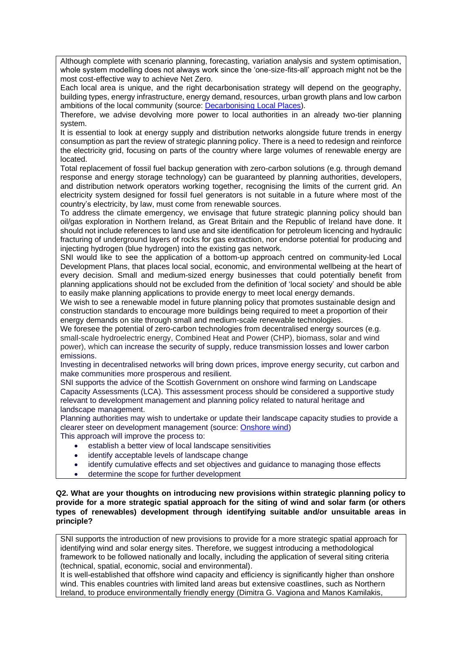Although complete with scenario planning, forecasting, variation analysis and system optimisation, whole system modelling does not always work since the 'one-size-fits-all' approach might not be the most cost-effective way to achieve Net Zero.

Each local area is unique, and the right decarbonisation strategy will depend on the geography, building types, energy infrastructure, energy demand, resources, urban growth plans and low carbon ambitions of the local community (source: **Decarbonising Local Places**).

Therefore, we advise devolving more power to local authorities in an already two-tier planning system.

It is essential to look at energy supply and distribution networks alongside future trends in energy consumption as part the review of strategic planning policy. There is a need to redesign and reinforce the electricity grid, focusing on parts of the country where large volumes of renewable energy are located.

Total replacement of fossil fuel backup generation with zero-carbon solutions (e.g. through demand response and energy storage technology) can be guaranteed by planning authorities, developers, and distribution network operators working together, recognising the limits of the current grid. An electricity system designed for fossil fuel generators is not suitable in a future where most of the country's electricity, by law, must come from renewable sources.

To address the climate emergency, we envisage that future strategic planning policy should ban oil/gas exploration in Northern Ireland, as Great Britain and the Republic of Ireland have done. It should not include references to land use and site identification for petroleum licencing and hydraulic fracturing of underground layers of rocks for gas extraction, nor endorse potential for producing and injecting hydrogen (blue hydrogen) into the existing gas network.

SNI would like to see the application of a bottom-up approach centred on community-led Local Development Plans, that places local social, economic, and environmental wellbeing at the heart of every decision. Small and medium-sized energy businesses that could potentially benefit from planning applications should not be excluded from the definition of 'local society' and should be able to easily make planning applications to provide energy to meet local energy demands.

We wish to see a renewable model in future planning policy that promotes sustainable design and construction standards to encourage more buildings being required to meet a proportion of their energy demands on site through small and medium-scale renewable technologies.

We foresee the potential of zero-carbon technologies from decentralised energy sources (e.g. small-scale hydroelectric energy, Combined Heat and Power (CHP), biomass, solar and wind power), which can increase the security of supply, reduce transmission losses and lower carbon emissions.

Investing in decentralised networks will bring down prices, improve energy security, cut carbon and make communities more prosperous and resilient.

SNI supports the advice of the Scottish Government on onshore wind farming on Landscape Capacity Assessments (LCA). This assessment process should be considered a supportive study relevant to development management and planning policy related to natural heritage and landscape management.

Planning authorities may wish to undertake or update their landscape capacity studies to provide a clearer steer on development management (source: [Onshore wind\)](planninghttps://www.gov.scot/binaries/content/documents/govscot/publications/factsheet/2016/02/onshore-wind-planning-faq/documents/onshore-wind-planning-faqs-pdf/onshore-wind-planning-faqs-pdf/govscot%3Adocument/Onshore%2Bwind%2Bplanning%2BFAQs.pdf) This approach will improve the process to:

- establish a better view of local landscape sensitivities
- identify acceptable levels of landscape change
- identify cumulative effects and set objectives and guidance to managing those effects
- determine the scope for further development

## **Q2. What are your thoughts on introducing new provisions within strategic planning policy to provide for a more strategic spatial approach for the siting of wind and solar farm (or others types of renewables) development through identifying suitable and/or unsuitable areas in principle?**

SNI supports the introduction of new provisions to provide for a more strategic spatial approach for identifying wind and solar energy sites. Therefore, we suggest introducing a methodological framework to be followed nationally and locally, including the application of several siting criteria (technical, spatial, economic, social and environmental).

It is well-established that offshore wind capacity and efficiency is significantly higher than onshore wind. This enables countries with limited land areas but extensive coastlines, such as Northern Ireland, to produce environmentally friendly energy (Dimitra G. Vagiona and Manos Kamilakis,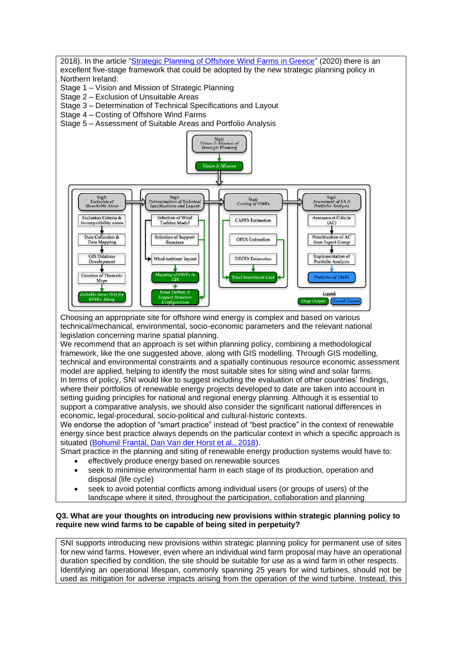

Choosing an appropriate site for offshore wind energy is complex and based on various technical/mechanical, environmental, socio-economic parameters and the relevant national legislation concerning marine spatial planning.

We recommend that an approach is set within planning policy, combining a methodological framework, like the one suggested above, along with GIS modelling. Through GIS modelling, technical and environmental constraints and a spatially continuous resource economic assessment model are applied, helping to identify the most suitable sites for siting wind and solar farms. In terms of policy, SNI would like to suggest including the evaluation of other countries' findings, where their portfolios of renewable energy projects developed to date are taken into account in setting guiding principles for national and regional energy planning. Although it is essential to support a comparative analysis, we should also consider the significant national differences in economic, legal-procedural, socio-political and cultural-historic contexts.

We endorse the adoption of "smart practice" instead of "best practice" in the context of renewable energy since best practice always depends on the particular context in which a specific approach is situated [\(Bohumil Frantál, Dan Van der Horst et al., 2018\)](https://run.unl.pt/bitstream/10362/90855/1/Spatial_targeting_sinergies_and_scale.pdf).

Smart practice in the planning and siting of renewable energy production systems would have to:

- effectively produce energy based on renewable sources
- seek to minimise environmental harm in each stage of its production, operation and disposal (life cycle)
- seek to avoid potential conflicts among individual users (or groups of users) of the landscape where it sited, throughout the participation, collaboration and planning

# **Q3. What are your thoughts on introducing new provisions within strategic planning policy to require new wind farms to be capable of being sited in perpetuity?**

SNI supports introducing new provisions within strategic planning policy for permanent use of sites for new wind farms. However, even where an individual wind farm proposal may have an operational duration specified by condition, the site should be suitable for use as a wind farm in other respects. Identifying an operational lifespan, commonly spanning 25 years for wind turbines, should not be used as mitigation for adverse impacts arising from the operation of the wind turbine. Instead, this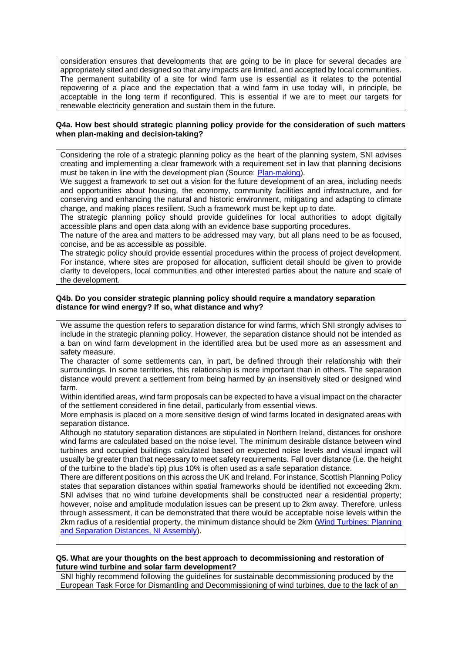consideration ensures that developments that are going to be in place for several decades are appropriately sited and designed so that any impacts are limited, and accepted by local communities. The permanent suitability of a site for wind farm use is essential as it relates to the potential repowering of a place and the expectation that a wind farm in use today will, in principle, be acceptable in the long term if reconfigured. This is essential if we are to meet our targets for renewable electricity generation and sustain them in the future.

## **Q4a. How best should strategic planning policy provide for the consideration of such matters when plan-making and decision-taking?**

Considering the role of a strategic planning policy as the heart of the planning system, SNI advises creating and implementing a clear framework with a requirement set in law that planning decisions must be taken in line with the development plan (Source: [Plan-making\)](https://www.gov.uk/guidance/plan-making).

We suggest a framework to set out a vision for the future development of an area, including needs and opportunities about housing, the economy, community facilities and infrastructure, and for conserving and enhancing the natural and historic environment, mitigating and adapting to climate change, and making places resilient. Such a framework must be kept up to date.

The strategic planning policy should provide guidelines for local authorities to adopt digitally accessible plans and open data along with an evidence base supporting procedures.

The nature of the area and matters to be addressed may vary, but all plans need to be as focused, concise, and be as accessible as possible.

The strategic policy should provide essential procedures within the process of project development. For instance, where sites are proposed for allocation, sufficient detail should be given to provide clarity to developers, local communities and other interested parties about the nature and scale of the development.

#### **Q4b. Do you consider strategic planning policy should require a mandatory separation distance for wind energy? If so, what distance and why?**

We assume the question refers to separation distance for wind farms, which SNI strongly advises to include in the strategic planning policy. However, the separation distance should not be intended as a ban on wind farm development in the identified area but be used more as an assessment and safety measure.

The character of some settlements can, in part, be defined through their relationship with their surroundings. In some territories, this relationship is more important than in others. The separation distance would prevent a settlement from being harmed by an insensitively sited or designed wind farm.

Within identified areas, wind farm proposals can be expected to have a visual impact on the character of the settlement considered in fine detail, particularly from essential views.

More emphasis is placed on a more sensitive design of wind farms located in designated areas with separation distance.

Although no statutory separation distances are stipulated in Northern Ireland, distances for onshore wind farms are calculated based on the noise level. The minimum desirable distance between wind turbines and occupied buildings calculated based on expected noise levels and visual impact will usually be greater than that necessary to meet safety requirements. Fall over distance (i.e. the height of the turbine to the blade's tip) plus 10% is often used as a safe separation distance.

There are different positions on this across the UK and Ireland. For instance, Scottish Planning Policy states that separation distances within spatial frameworks should be identified not exceeding 2km. SNI advises that no wind turbine developments shall be constructed near a residential property; however, noise and amplitude modulation issues can be present up to 2km away. Therefore, unless through assessment, it can be demonstrated that there would be acceptable noise levels within the 2km radius of a residential property, the minimum distance should be 2km (Wind Turbines: Planning [and Separation Distances, NI Assembly\)](http://www.niassembly.gov.uk/globalassets/documents/raise/publications/2013/environment/12813.pdf).

#### **Q5. What are your thoughts on the best approach to decommissioning and restoration of future wind turbine and solar farm development?**

SNI highly recommend following the guidelines for sustainable decommissioning produced by the European Task Force for Dismantling and Decommissioning of wind turbines, due to the lack of an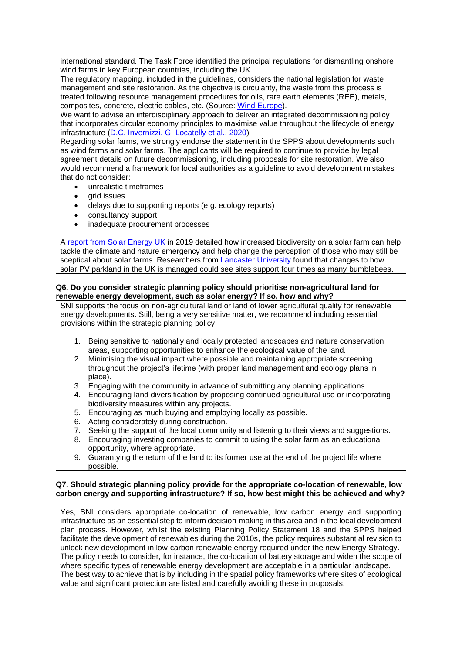international standard. The Task Force identified the principal regulations for dismantling onshore wind farms in key European countries, including the UK.

The regulatory mapping, included in the guidelines, considers the national legislation for waste management and site restoration. As the objective is circularity, the waste from this process is treated following resource management procedures for oils, rare earth elements (REE), metals, composites, concrete, electric cables, etc. (Source: [Wind Europe\)](https://proceedings.windeurope.org/biplatform/rails/active_storage/disk/eyJfcmFpbHMiOnsibWVzc2FnZSI6IkJBaDdDRG9JYTJWNVNTSWhZV0Z4Y0RCM2F6SmxZMnRvYzI4NGFHUXdjWFZrYkdWd00yeDJid1k2QmtWVU9oQmthWE53YjNOcGRHbHZia2tpQVpScGJteHBibVU3SUdacGJHVnVZVzFsUFNKWGFXNWtSWFZ5YjNCbExXUmxZMjl0YldsemMybHZibWx1WnkxdlppMXZibk5vYjNKbExYZHBibVF0ZEhWeVltbHVaWE11Y0dSbUlqc2dabWxzWlc1aGJXVXFQVlZVUmkwNEp5ZFhhVzVrUlhWeWIzQmxMV1JsWTI5dGJXbHpjMmx2Ym1sdVp5MXZaaTF2Ym5Ob2IzSmxMWGRwYm1RdGRIVnlZbWx1WlhNdWNHUm1CanNHVkRvUlkyOXVkR1Z1ZEY5MGVYQmxTU0lVWVhCd2JHbGpZWFJwYjI0dmNHUm1CanNHVkE9PSIsImV4cCI6IjIwMjItMDEtMjhUMTU6MTQ6NDQuMjAzWiIsInB1ciI6ImJsb2Jfa2V5In19--fde798ee8181c398828b71a270c5bfb9108dbba0/WindEurope-decommissioning-of-onshore-wind-turbines.pdf?content_type=application%2Fpdf&disposition=inline%3B+filename%3D%22WindEurope-decommissioning-of-onshore-wind-turbines.pdf%22%3B+filename%2A%3DUTF-8%27%27WindEurope-decommissioning-of-onshore-wind-turbines.pdf).

We want to advise an interdisciplinary approach to deliver an integrated decommissioning policy that incorporates circular economy principles to maximise value throughout the lifecycle of energy infrastructure [\(D.C. Invernizzi, G. Locatelly et al., 2020\)](https://www.sciencedirect.com/science/article/pii/S0301421520304067)

Regarding solar farms, we strongly endorse the statement in the SPPS about developments such as wind farms and solar farms. The applicants will be required to continue to provide by legal agreement details on future decommissioning, including proposals for site restoration. We also would recommend a framework for local authorities as a guideline to avoid development mistakes that do not consider:

- unrealistic timeframes
- grid issues
- delays due to supporting reports (e.g. ecology reports)
- consultancy support
- inadequate procurement processes

A [report from Solar Energy UK](https://www.solarpowerportal.co.uk/news/sta_shines_light_on_solars_biodiversity_benefits) in 2019 detailed how increased biodiversity on a solar farm can help tackle the climate and nature emergency and help change the perception of those who may still be sceptical about solar farms. Researchers from [Lancaster University](https://www.solarpowerportal.co.uk/news/changes_to_solar_pv_management_could_significantly_boost_bumble_bee_populat) found that changes to how solar PV parkland in the UK is managed could see sites support four times as many bumblebees.

## **Q6. Do you consider strategic planning policy should prioritise non-agricultural land for renewable energy development, such as solar energy? If so, how and why?**

SNI supports the focus on non-agricultural land or land of lower agricultural quality for renewable energy developments. Still, being a very sensitive matter, we recommend including essential provisions within the strategic planning policy:

- 1. Being sensitive to nationally and locally protected landscapes and nature conservation areas, supporting opportunities to enhance the ecological value of the land.
- 2. Minimising the visual impact where possible and maintaining appropriate screening throughout the project's lifetime (with proper land management and ecology plans in place).
- 3. Engaging with the community in advance of submitting any planning applications.
- 4. Encouraging land diversification by proposing continued agricultural use or incorporating biodiversity measures within any projects.
- 5. Encouraging as much buying and employing locally as possible.
- 6. Acting considerately during construction.
- 7. Seeking the support of the local community and listening to their views and suggestions.
- 8. Encouraging investing companies to commit to using the solar farm as an educational opportunity, where appropriate.
- 9. Guarantying the return of the land to its former use at the end of the project life where possible.

## **Q7. Should strategic planning policy provide for the appropriate co-location of renewable, low carbon energy and supporting infrastructure? If so, how best might this be achieved and why?**

Yes, SNI considers appropriate co-location of renewable, low carbon energy and supporting infrastructure as an essential step to inform decision-making in this area and in the local development plan process. However, whilst the existing Planning Policy Statement 18 and the SPPS helped facilitate the development of renewables during the 2010s, the policy requires substantial revision to unlock new development in low-carbon renewable energy required under the new Energy Strategy. The policy needs to consider, for instance, the co-location of battery storage and widen the scope of where specific types of renewable energy development are acceptable in a particular landscape. The best way to achieve that is by including in the spatial policy frameworks where sites of ecological value and significant protection are listed and carefully avoiding these in proposals.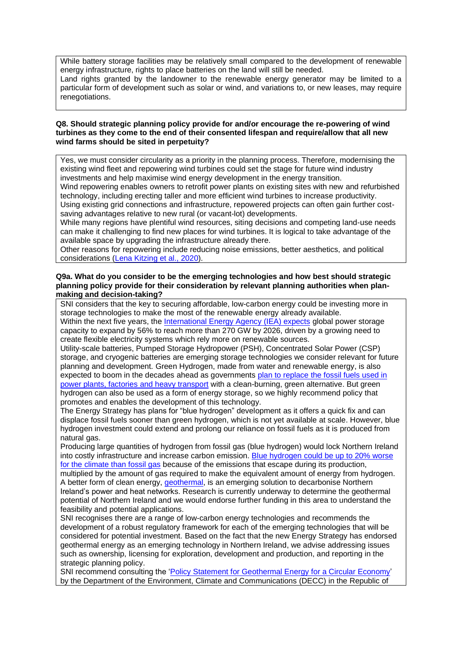While battery storage facilities may be relatively small compared to the development of renewable energy infrastructure, rights to place batteries on the land will still be needed.

Land rights granted by the landowner to the renewable energy generator may be limited to a particular form of development such as solar or wind, and variations to, or new leases, may require renegotiations.

## **Q8. Should strategic planning policy provide for and/or encourage the re-powering of wind turbines as they come to the end of their consented lifespan and require/allow that all new wind farms should be sited in perpetuity?**

Yes, we must consider circularity as a priority in the planning process. Therefore, modernising the existing wind fleet and repowering wind turbines could set the stage for future wind industry investments and help maximise wind energy development in the energy transition.

Wind repowering enables owners to retrofit power plants on existing sites with new and refurbished technology, including erecting taller and more efficient wind turbines to increase productivity. Using existing grid connections and infrastructure, repowered projects can often gain further costsaving advantages relative to new rural (or vacant-lot) developments.

While many regions have plentiful wind resources, siting decisions and competing land-use needs can make it challenging to find new places for wind turbines. It is logical to take advantage of the available space by upgrading the infrastructure already there.

Other reasons for repowering include reducing noise emissions, better aesthetics, and political considerations [\(Lena Kitzing](https://www.nature.com/articles/s41560-020-00717-1) et al., 2020).

#### **Q9a. What do you consider to be the emerging technologies and how best should strategic planning policy provide for their consideration by relevant planning authorities when planmaking and decision-taking?**

SNI considers that the key to securing affordable, low-carbon energy could be investing more in storage technologies to make the most of the renewable energy already available. Within the next five years, the [International Energy Agency \(IEA\) expects](https://www.iea.org/articles/how-rapidly-will-the-global-electricity-storage-market-grow-by-2026) global power storage

capacity to expand by 56% to reach more than 270 GW by 2026, driven by a growing need to create flexible electricity systems which rely more on renewable sources.

Utility-scale batteries, Pumped Storage Hydropower (PSH), Concentrated Solar Power (CSP) storage, and cryogenic batteries are emerging storage technologies we consider relevant for future planning and development. Green Hydrogen, made from water and renewable energy, is also expected to boom in the decades ahead as governments [plan to replace the fossil fuels used in](https://www.theguardian.com/environment/2021/aug/17/uk-homes-low-carbon-hydrogen-economy-jobs)  [power plants, factories and heavy transport](https://www.theguardian.com/environment/2021/aug/17/uk-homes-low-carbon-hydrogen-economy-jobs) with a clean-burning, green alternative. But green hydrogen can also be used as a form of energy storage, so we highly recommend policy that promotes and enables the development of this technology.

The Energy Strategy has plans for "blue hydrogen" development as it offers a quick fix and can displace fossil fuels sooner than green hydrogen, which is not yet available at scale. However, blue hydrogen investment could extend and prolong our reliance on fossil fuels as it is produced from natural gas.

Producing large quantities of hydrogen from fossil gas (blue hydrogen) would lock Northern Ireland into costly infrastructure and increase carbon emission. [Blue hydrogen could be up to 20% worse](https://onlinelibrary.wiley.com/doi/full/10.1002/ese3.956)  [for the climate than fossil gas](https://onlinelibrary.wiley.com/doi/full/10.1002/ese3.956) because of the emissions that escape during its production, multiplied by the amount of gas required to make the equivalent amount of energy from hydrogen. A better form of clean energy, *geothermal*, is an emerging solution to decarbonise Northern Ireland's power and heat networks. Research is currently underway to determine the geothermal potential of Northern Ireland and we would endorse further funding in this area to understand the feasibility and potential applications.

SNI recognises there are a range of low-carbon energy technologies and recommends the development of a robust regulatory framework for each of the emerging technologies that will be considered for potential investment. Based on the fact that the new Energy Strategy has endorsed geothermal energy as an emerging technology in Northern Ireland, we advise addressing issues such as ownership, licensing for exploration, development and production, and reporting in the strategic planning policy.

SNI recommend consulting the ['Policy Statement for Geothermal Energy for a Circular Economy'](/Users/francesca/Downloads/211963_1659494b-171e-4601-b6f3-3e30236a116d%20(1).pdf) by the Department of the Environment, Climate and Communications (DECC) in the Republic of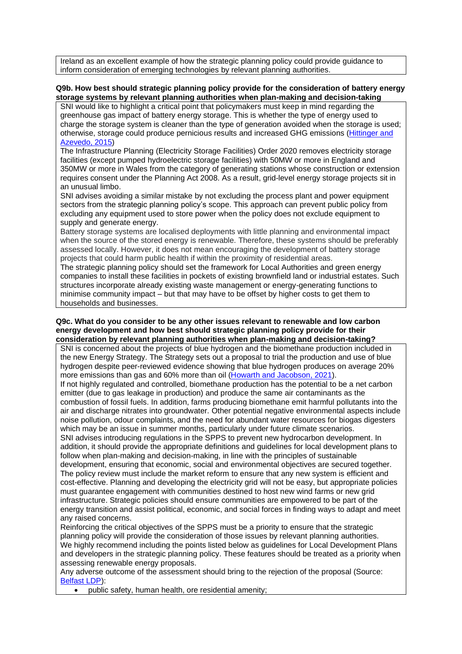Ireland as an excellent example of how the strategic planning policy could provide guidance to inform consideration of emerging technologies by relevant planning authorities.

# **Q9b. How best should strategic planning policy provide for the consideration of battery energy storage systems by relevant planning authorities when plan-making and decision-taking**

SNI would like to highlight a critical point that policymakers must keep in mind regarding the greenhouse gas impact of battery energy storage. This is whether the type of energy used to charge the storage system is cleaner than the type of generation avoided when the storage is used; otherwise, storage could produce pernicious results and increased GHG emissions [\(Hittinger](https://pubs.acs.org/doi/abs/10.1021/es505027p) and [Azevedo, 2015\)](https://pubs.acs.org/doi/abs/10.1021/es505027p)

The Infrastructure Planning (Electricity Storage Facilities) Order 2020 removes electricity storage facilities (except pumped hydroelectric storage facilities) with 50MW or more in England and 350MW or more in Wales from the category of generating stations whose construction or extension requires consent under the Planning Act 2008. As a result, grid-level energy storage projects sit in an unusual limbo.

SNI advises avoiding a similar mistake by not excluding the process plant and power equipment sectors from the strategic planning policy's scope. This approach can prevent public policy from excluding any equipment used to store power when the policy does not exclude equipment to supply and generate energy.

Battery storage systems are localised deployments with little planning and environmental impact when the source of the stored energy is renewable. Therefore, these systems should be preferably assessed locally. However, it does not mean encouraging the development of battery storage projects that could harm public health if within the proximity of residential areas.

The strategic planning policy should set the framework for Local Authorities and green energy companies to install these facilities in pockets of existing brownfield land or industrial estates. Such structures incorporate already existing waste management or energy-generating functions to minimise community impact – but that may have to be offset by higher costs to get them to households and businesses.

#### **Q9c. What do you consider to be any other issues relevant to renewable and low carbon energy development and how best should strategic planning policy provide for their consideration by relevant planning authorities when plan-making and decision-taking?**

SNI is concerned about the projects of blue hydrogen and the biomethane production included in the new Energy Strategy. The Strategy sets out a proposal to trial the production and use of blue hydrogen despite peer-reviewed evidence showing that blue hydrogen produces on average 20% more emissions than gas and 60% more than oil (Howarth [and Jacobson, 2021\)](https://onlinelibrary.wiley.com/doi/full/10.1002/ese3.956).

If not highly regulated and controlled, biomethane production has the potential to be a net carbon emitter (due to gas leakage in production) and produce the same air contaminants as the combustion of fossil fuels. In addition, farms producing biomethane emit harmful pollutants into the air and discharge nitrates into groundwater. Other potential negative environmental aspects include noise pollution, odour complaints, and the need for abundant water resources for biogas digesters which may be an issue in summer months, particularly under future climate scenarios.

SNI advises introducing regulations in the SPPS to prevent new hydrocarbon development. In addition, it should provide the appropriate definitions and guidelines for local development plans to follow when plan-making and decision-making, in line with the principles of sustainable development, ensuring that economic, social and environmental objectives are secured together. The policy review must include the market reform to ensure that any new system is efficient and cost-effective. Planning and developing the electricity grid will not be easy, but appropriate policies must guarantee engagement with communities destined to host new wind farms or new grid infrastructure. Strategic policies should ensure communities are empowered to be part of the energy transition and assist political, economic, and social forces in finding ways to adapt and meet any raised concerns.

Reinforcing the critical objectives of the SPPS must be a priority to ensure that the strategic planning policy will provide the consideration of those issues by relevant planning authorities. We highly recommend including the points listed below as guidelines for Local Development Plans and developers in the strategic planning policy. These features should be treated as a priority when assessing renewable energy proposals.

Any adverse outcome of the assessment should bring to the rejection of the proposal (Source: [Belfast LDP\)](https://www.belfastcity.gov.uk/getmedia/72bb6034-3389-4030-b957-e1bbd621c286/DPS019_TS13.pdf):

• public safety, human health, ore residential amenity;